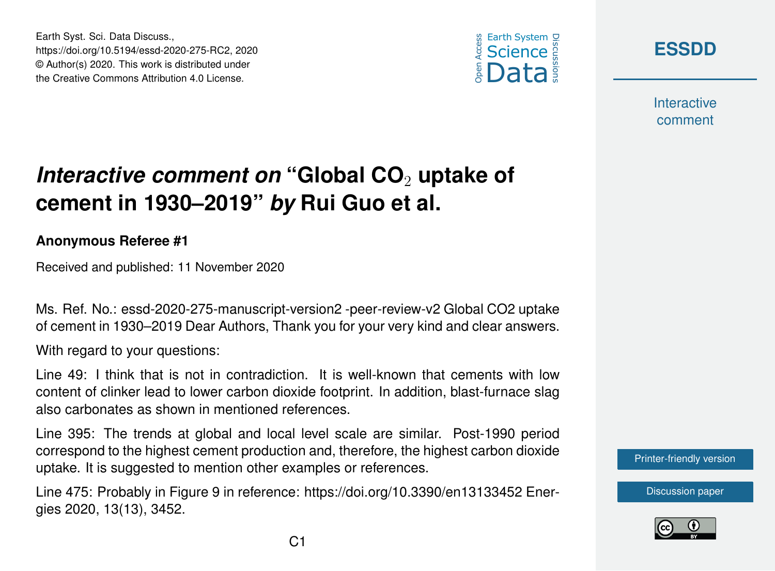





**Interactive** comment

## *Interactive comment on* "Global CO<sub>2</sub> uptake of **cement in 1930–2019"** *by* **Rui Guo et al.**

## **Anonymous Referee #1**

Received and published: 11 November 2020

Ms. Ref. No.: essd-2020-275-manuscript-version2 -peer-review-v2 Global CO2 uptake of cement in 1930–2019 Dear Authors, Thank you for your very kind and clear answers.

With regard to your questions:

Line 49: I think that is not in contradiction. It is well-known that cements with low content of clinker lead to lower carbon dioxide footprint. In addition, blast-furnace slag also carbonates as shown in mentioned references.

Line 395: The trends at global and local level scale are similar. Post-1990 period correspond to the highest cement production and, therefore, the highest carbon dioxide uptake. It is suggested to mention other examples or references.

Line 475: Probably in Figure 9 in reference: https://doi.org/10.3390/en13133452 Energies 2020, 13(13), 3452.



[Discussion paper](https://essd.copernicus.org/preprints/essd-2020-275)